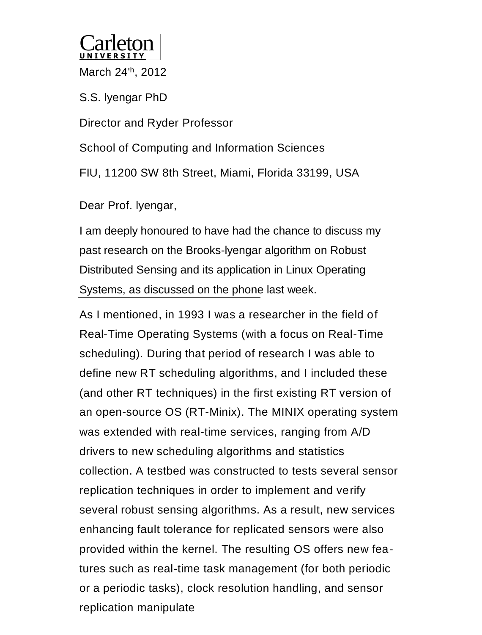

March 24'<sup>h</sup> , 2012

S.S. lyengar PhD

Director and Ryder Professor

School of Computing and Information Sciences FIU, 11200 SW 8th Street, Miami, Florida 33199, USA

Dear Prof. lyengar,

I am deeply honoured to have had the chance to discuss my past research on the Brooks-lyengar algorithm on Robust Distributed Sensing and its application in Linux Operating Systems, as discussed on the phone last week.

As I mentioned, in 1993 I was a researcher in the field of Real-Time Operating Systems (with a focus on Real-Time scheduling). During that period of research I was able to define new RT scheduling algorithms, and I included these (and other RT techniques) in the first existing RT version of an open-source OS (RT-Minix). The MINIX operating system was extended with real-time services, ranging from A/D drivers to new scheduling algorithms and statistics collection. A testbed was constructed to tests several sensor replication techniques in order to implement and verify several robust sensing algorithms. As a result, new services enhancing fault tolerance for replicated sensors were also provided within the kernel. The resulting OS offers new features such as real-time task management (for both periodic or a periodic tasks), clock resolution handling, and sensor replication manipulate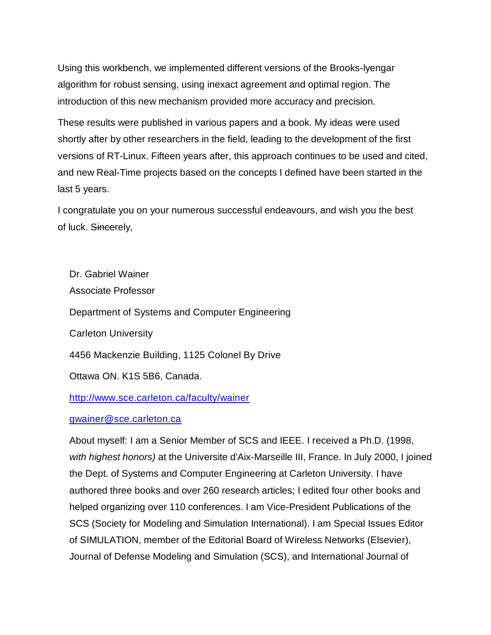Using this workbench, we implemented different versions of the Brooks-lyengar algorithm for robust sensing, using inexact agreement and optimal region. The introduction of this new mechanism provided more accuracy and precision.

These results were published in various papers and a book. My ideas were used shortly after by other researchers in the field, leading to the development of the first versions of RT-Linux. Fifteen years after, this approach continues to be used and cited, and new Real-Time projects based on the concepts I defined have been started in the last 5 years.

I congratulate you on your numerous successful endeavours, and wish you the best of luck. Sincerely,

Dr. Gabriel Wainer Associate Professor Department of Systems and Computer Engineering Carleton University 4456 Mackenzie Building, 1125 Colonel By Drive Ottawa ON. K1S 5B6, Canada.

<http://www.sce.carleton.ca/faculty/wainer>

## [gwainer@sce.carleton.ca](mailto:gwainer@sce.carleton.ca)

About myself: I am a Senior Member of SCS and IEEE. I received a Ph.D. (1998, *with highest honors)* at the Universite d'Aix-Marseille III, France. In July 2000, I joined the Dept. of Systems and Computer Engineering at Carleton University. I have authored three books and over 260 research articles; I edited four other books and helped organizing over 110 conferences. I am Vice-President Publications of the SCS (Society for Modeling and Simulation International). I am Special Issues Editor of SIMULATION, member of the Editorial Board of Wireless Networks (Elsevier), Journal of Defense Modeling and Simulation (SCS), and International Journal of